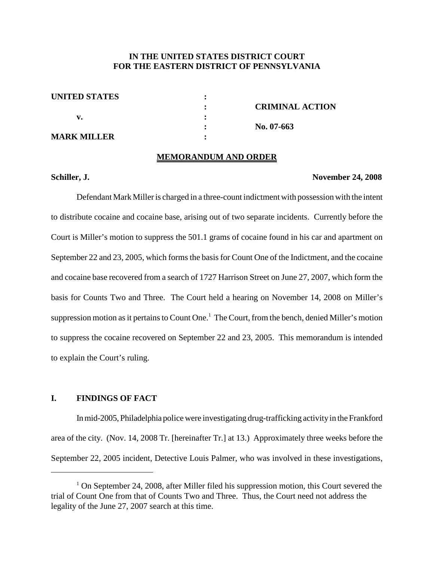# **IN THE UNITED STATES DISTRICT COURT FOR THE EASTERN DISTRICT OF PENNSYLVANIA**

| <b>UNITED STATES</b> |                        |
|----------------------|------------------------|
|                      | <b>CRIMINAL ACTION</b> |
|                      |                        |
|                      | No. $07-663$           |
| MARK MILLER          |                        |

#### **MEMORANDUM AND ORDER**

#### **Schiller, J. November 24, 2008**

Defendant Mark Miller is charged in a three-count indictment with possession with the intent to distribute cocaine and cocaine base, arising out of two separate incidents. Currently before the Court is Miller's motion to suppress the 501.1 grams of cocaine found in his car and apartment on September 22 and 23, 2005, which forms the basis for Count One of the Indictment, and the cocaine and cocaine base recovered from a search of 1727 Harrison Street on June 27, 2007, which form the basis for Counts Two and Three. The Court held a hearing on November 14, 2008 on Miller's suppression motion as it pertains to Count One.<sup>1</sup> The Court, from the bench, denied Miller's motion to suppress the cocaine recovered on September 22 and 23, 2005. This memorandum is intended to explain the Court's ruling.

# **I. FINDINGS OF FACT**

Inmid-2005, Philadelphia police were investigating drug-trafficking activityin the Frankford area of the city. (Nov. 14, 2008 Tr. [hereinafter Tr.] at 13.) Approximately three weeks before the September 22, 2005 incident, Detective Louis Palmer, who was involved in these investigations,

 $1$  On September 24, 2008, after Miller filed his suppression motion, this Court severed the trial of Count One from that of Counts Two and Three. Thus, the Court need not address the legality of the June 27, 2007 search at this time.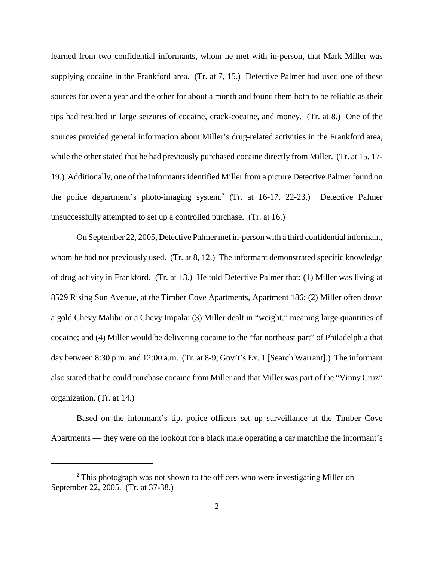learned from two confidential informants, whom he met with in-person, that Mark Miller was supplying cocaine in the Frankford area. (Tr. at 7, 15.) Detective Palmer had used one of these sources for over a year and the other for about a month and found them both to be reliable as their tips had resulted in large seizures of cocaine, crack-cocaine, and money. (Tr. at 8.) One of the sources provided general information about Miller's drug-related activities in the Frankford area, while the other stated that he had previously purchased cocaine directly from Miller. (Tr. at 15, 17-19.) Additionally, one of the informantsidentified Miller from a picture Detective Palmer found on the police department's photo-imaging system. <sup>2</sup> (Tr. at 16-17, 22-23.) Detective Palmer unsuccessfully attempted to set up a controlled purchase. (Tr. at 16.)

On September 22, 2005, Detective Palmer met in-person with a third confidential informant, whom he had not previously used. (Tr. at 8, 12.) The informant demonstrated specific knowledge of drug activity in Frankford. (Tr. at 13.) He told Detective Palmer that: (1) Miller was living at 8529 Rising Sun Avenue, at the Timber Cove Apartments, Apartment 186; (2) Miller often drove a gold Chevy Malibu or a Chevy Impala; (3) Miller dealt in "weight," meaning large quantities of cocaine; and (4) Miller would be delivering cocaine to the "far northeast part" of Philadelphia that day between 8:30 p.m. and 12:00 a.m. (Tr. at 8-9; Gov't's Ex. 1 [Search Warrant].) The informant also stated that he could purchase cocaine from Miller and that Miller was part of the "Vinny Cruz" organization. (Tr. at 14.)

Based on the informant's tip, police officers set up surveillance at the Timber Cove Apartments — they were on the lookout for a black male operating a car matching the informant's

 $2$  This photograph was not shown to the officers who were investigating Miller on September 22, 2005. (Tr. at 37-38.)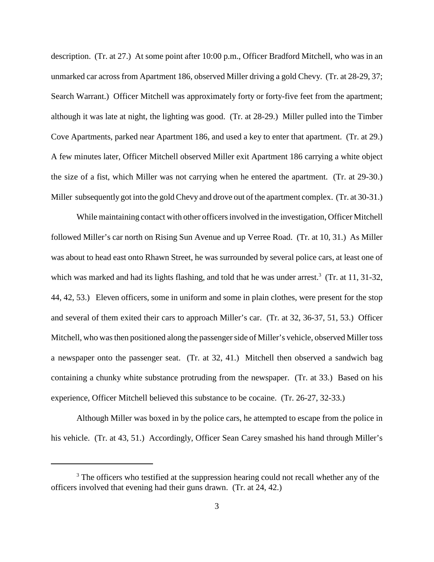description. (Tr. at 27.) At some point after 10:00 p.m., Officer Bradford Mitchell, who was in an unmarked car across from Apartment 186, observed Miller driving a gold Chevy. (Tr. at 28-29, 37; Search Warrant.) Officer Mitchell was approximately forty or forty-five feet from the apartment; although it was late at night, the lighting was good. (Tr. at 28-29.) Miller pulled into the Timber Cove Apartments, parked near Apartment 186, and used a key to enter that apartment. (Tr. at 29.) A few minutes later, Officer Mitchell observed Miller exit Apartment 186 carrying a white object the size of a fist, which Miller was not carrying when he entered the apartment. (Tr. at 29-30.) Miller subsequently got into the gold Chevy and drove out of the apartment complex. (Tr. at 30-31.)

While maintaining contact with other officersinvolved in the investigation, Officer Mitchell followed Miller's car north on Rising Sun Avenue and up Verree Road. (Tr. at 10, 31.) As Miller was about to head east onto Rhawn Street, he was surrounded by several police cars, at least one of which was marked and had its lights flashing, and told that he was under arrest.<sup>3</sup> (Tr. at 11, 31-32, 44, 42, 53.) Eleven officers, some in uniform and some in plain clothes, were present for the stop and several of them exited their cars to approach Miller's car. (Tr. at 32, 36-37, 51, 53.) Officer Mitchell, who wasthen positioned along the passengerside of Miller's vehicle, observed Miller toss a newspaper onto the passenger seat. (Tr. at 32, 41.) Mitchell then observed a sandwich bag containing a chunky white substance protruding from the newspaper. (Tr. at 33.) Based on his experience, Officer Mitchell believed this substance to be cocaine. (Tr. 26-27, 32-33.)

Although Miller was boxed in by the police cars, he attempted to escape from the police in his vehicle. (Tr. at 43, 51.) Accordingly, Officer Sean Carey smashed his hand through Miller's

<sup>&</sup>lt;sup>3</sup> The officers who testified at the suppression hearing could not recall whether any of the officers involved that evening had their guns drawn. (Tr. at 24, 42.)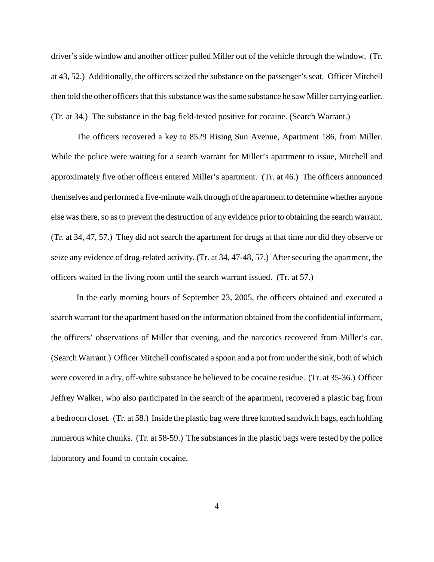driver's side window and another officer pulled Miller out of the vehicle through the window. (Tr. at 43, 52.) Additionally, the officers seized the substance on the passenger's seat. Officer Mitchell then told the other officers that this substance was the same substance he saw Miller carrying earlier. (Tr. at 34.) The substance in the bag field-tested positive for cocaine. (Search Warrant.)

The officers recovered a key to 8529 Rising Sun Avenue, Apartment 186, from Miller. While the police were waiting for a search warrant for Miller's apartment to issue, Mitchell and approximately five other officers entered Miller's apartment. (Tr. at 46.) The officers announced themselves and performed a five-minute walk through of the apartment to determine whether anyone else was there, so as to prevent the destruction of any evidence prior to obtaining the search warrant. (Tr. at 34, 47, 57.) They did not search the apartment for drugs at that time nor did they observe or seize any evidence of drug-related activity. (Tr. at 34, 47-48, 57.) After securing the apartment, the officers waited in the living room until the search warrant issued. (Tr. at 57.)

In the early morning hours of September 23, 2005, the officers obtained and executed a search warrant for the apartment based on the information obtained from the confidential informant, the officers' observations of Miller that evening, and the narcotics recovered from Miller's car. (Search Warrant.) Officer Mitchell confiscated a spoon and a pot from under the sink, both of which were covered in a dry, off-white substance he believed to be cocaine residue. (Tr. at 35-36.) Officer Jeffrey Walker, who also participated in the search of the apartment, recovered a plastic bag from a bedroom closet. (Tr. at 58.) Inside the plastic bag were three knotted sandwich bags, each holding numerous white chunks. (Tr. at 58-59.) The substances in the plastic bags were tested by the police laboratory and found to contain cocaine.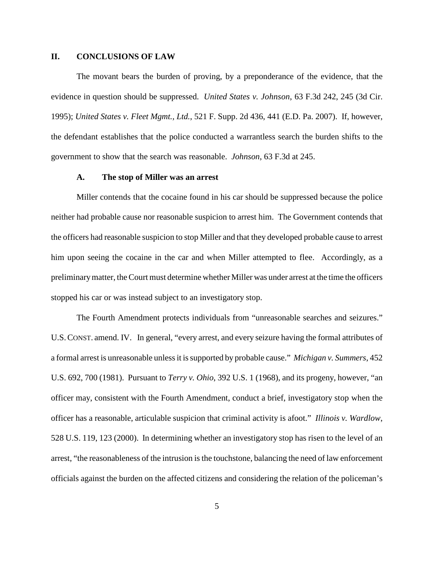### **II. CONCLUSIONS OF LAW**

The movant bears the burden of proving, by a preponderance of the evidence, that the evidence in question should be suppressed. *United States v. Johnson*, 63 F.3d 242, 245 (3d Cir. 1995); *United States v. Fleet Mgmt., Ltd.*, 521 F. Supp. 2d 436, 441 (E.D. Pa. 2007). If, however, the defendant establishes that the police conducted a warrantless search the burden shifts to the government to show that the search was reasonable. *Johnson*, 63 F.3d at 245.

#### **A. The stop of Miller was an arrest**

Miller contends that the cocaine found in his car should be suppressed because the police neither had probable cause nor reasonable suspicion to arrest him. The Government contends that the officers had reasonable suspicion to stop Miller and that they developed probable cause to arrest him upon seeing the cocaine in the car and when Miller attempted to flee. Accordingly, as a preliminarymatter, theCourt must determine whether Miller was under arrest at the time the officers stopped his car or was instead subject to an investigatory stop.

The Fourth Amendment protects individuals from "unreasonable searches and seizures." U.S.CONST. amend. IV. In general, "every arrest, and every seizure having the formal attributes of a formal arrest is unreasonable unlessit issupported by probable cause." *Michigan v. Summers*, 452 U.S. 692, 700 (1981). Pursuant to *Terry v. Ohio*, 392 U.S. 1 (1968), and its progeny, however, "an officer may, consistent with the Fourth Amendment, conduct a brief, investigatory stop when the officer has a reasonable, articulable suspicion that criminal activity is afoot." *Illinois v. Wardlow*, 528 U.S. 119, 123 (2000). In determining whether an investigatory stop has risen to the level of an arrest, "the reasonableness of the intrusion is the touchstone, balancing the need of law enforcement officials against the burden on the affected citizens and considering the relation of the policeman's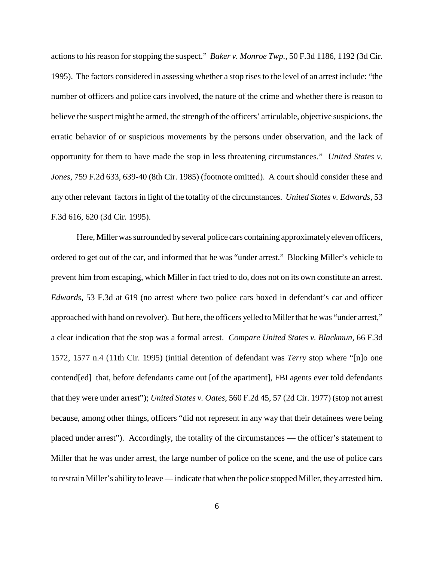actions to his reason for stopping the suspect." *Baker v. Monroe Twp.*, 50 F.3d 1186, 1192 (3d Cir. 1995). The factors considered in assessing whether a stop risesto the level of an arrest include: "the number of officers and police cars involved, the nature of the crime and whether there is reason to believe the suspect might be armed, the strength of the officers' articulable, objective suspicions, the erratic behavior of or suspicious movements by the persons under observation, and the lack of opportunity for them to have made the stop in less threatening circumstances." *United States v. Jones*, 759 F.2d 633, 639-40 (8th Cir. 1985) (footnote omitted). A court should consider these and any other relevant factors in light of the totality of the circumstances. *United States v. Edwards*, 53 F.3d 616, 620 (3d Cir. 1995).

Here, Miller was surrounded by several police cars containing approximately eleven officers, ordered to get out of the car, and informed that he was "under arrest." Blocking Miller's vehicle to prevent him from escaping, which Miller in fact tried to do, does not on its own constitute an arrest. *Edwards*, 53 F.3d at 619 (no arrest where two police cars boxed in defendant's car and officer approached with hand on revolver). But here, the officers yelled to Miller that he was "under arrest," a clear indication that the stop was a formal arrest. *Compare United States v. Blackmun*, 66 F.3d 1572, 1577 n.4 (11th Cir. 1995) (initial detention of defendant was *Terry* stop where "[n]o one contend[ed] that, before defendants came out [of the apartment], FBI agents ever told defendants that they were under arrest"); *United States v. Oates*, 560 F.2d 45, 57 (2d Cir. 1977) (stop not arrest because, among other things, officers "did not represent in any way that their detainees were being placed under arrest"). Accordingly, the totality of the circumstances — the officer's statement to Miller that he was under arrest, the large number of police on the scene, and the use of police cars to restrain Miller's ability to leave— indicate that when the police stopped Miller, they arrested him.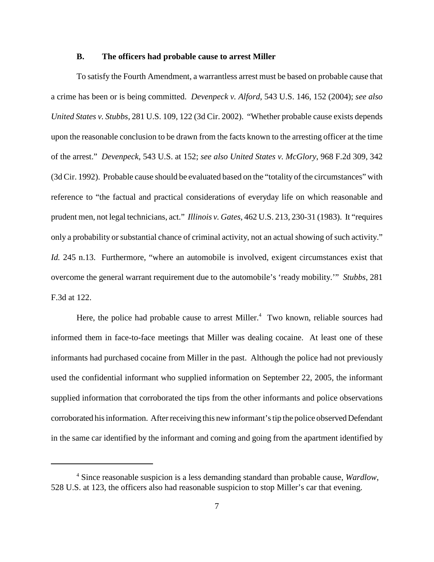#### **B. The officers had probable cause to arrest Miller**

To satisfy the Fourth Amendment, a warrantless arrest must be based on probable cause that a crime has been or is being committed. *Devenpeck v. Alford*, 543 U.S. 146, 152 (2004); *see also United States v. Stubbs*, 281 U.S. 109, 122 (3d Cir. 2002). "Whether probable cause exists depends upon the reasonable conclusion to be drawn from the facts known to the arresting officer at the time of the arrest." *Devenpeck*, 543 U.S. at 152; *see also United States v. McGlory*, 968 F.2d 309, 342 (3d Cir. 1992). Probable cause should be evaluated based on the "totality of the circumstances" with reference to "the factual and practical considerations of everyday life on which reasonable and prudent men, not legal technicians, act." *Illinois v. Gates*, 462 U.S. 213, 230-31 (1983). It "requires only a probability or substantial chance of criminal activity, not an actual showing of such activity." *Id.* 245 n.13. Furthermore, "where an automobile is involved, exigent circumstances exist that overcome the general warrant requirement due to the automobile's 'ready mobility.'" *Stubbs*, 281 F.3d at 122.

Here, the police had probable cause to arrest Miller.<sup>4</sup> Two known, reliable sources had informed them in face-to-face meetings that Miller was dealing cocaine. At least one of these informants had purchased cocaine from Miller in the past. Although the police had not previously used the confidential informant who supplied information on September 22, 2005, the informant supplied information that corroborated the tips from the other informants and police observations corroborated his information. After receiving this new informant's tip the police observed Defendant in the same car identified by the informant and coming and going from the apartment identified by

<sup>4</sup> Since reasonable suspicion is a less demanding standard than probable cause, *Wardlow*, 528 U.S. at 123, the officers also had reasonable suspicion to stop Miller's car that evening.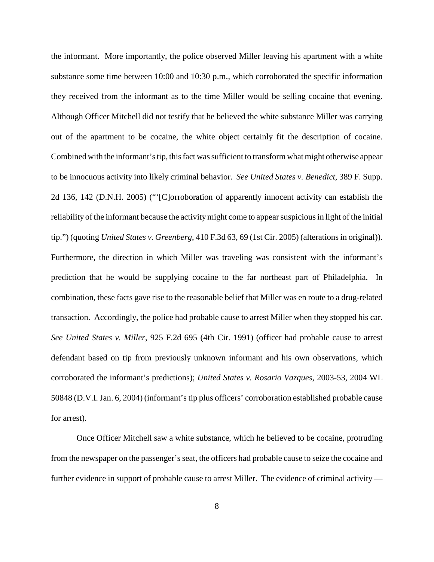the informant. More importantly, the police observed Miller leaving his apartment with a white substance some time between 10:00 and 10:30 p.m., which corroborated the specific information they received from the informant as to the time Miller would be selling cocaine that evening. Although Officer Mitchell did not testify that he believed the white substance Miller was carrying out of the apartment to be cocaine, the white object certainly fit the description of cocaine. Combined with the informant's tip, this fact was sufficient to transform what might otherwise appear to be innocuous activity into likely criminal behavior. *See United States v. Benedict*, 389 F. Supp. 2d 136, 142 (D.N.H. 2005) ("'[C]orroboration of apparently innocent activity can establish the reliability of the informant because the activitymight come to appearsuspiciousin light of the initial tip.") (quoting *United States v. Greenberg*, 410 F.3d 63, 69 (1st Cir. 2005) (alterationsin original)). Furthermore, the direction in which Miller was traveling was consistent with the informant's prediction that he would be supplying cocaine to the far northeast part of Philadelphia. In combination, these facts gave rise to the reasonable belief that Miller was en route to a drug-related transaction. Accordingly, the police had probable cause to arrest Miller when they stopped his car. *See United States v. Miller*, 925 F.2d 695 (4th Cir. 1991) (officer had probable cause to arrest defendant based on tip from previously unknown informant and his own observations, which corroborated the informant's predictions); *United States v. Rosario Vazques*, 2003-53, 2004 WL 50848 (D.V.I. Jan. 6, 2004) (informant'stip plus officers' corroboration established probable cause for arrest).

Once Officer Mitchell saw a white substance, which he believed to be cocaine, protruding from the newspaper on the passenger'sseat, the officers had probable cause to seize the cocaine and further evidence in support of probable cause to arrest Miller. The evidence of criminal activity —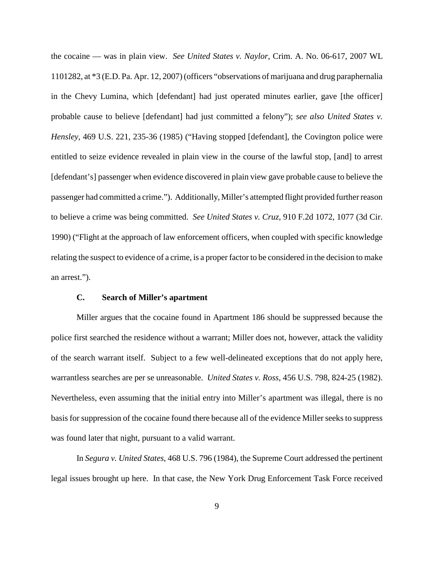the cocaine — was in plain view. *See United States v. Naylor*, Crim. A. No. 06-617, 2007 WL 1101282, at \*3 (E.D. Pa. Apr. 12, 2007) (officers "observations of marijuana and drug paraphernalia in the Chevy Lumina, which [defendant] had just operated minutes earlier, gave [the officer] probable cause to believe [defendant] had just committed a felony"); *see also United States v. Hensley*, 469 U.S. 221, 235-36 (1985) ("Having stopped [defendant], the Covington police were entitled to seize evidence revealed in plain view in the course of the lawful stop, [and] to arrest [defendant's] passenger when evidence discovered in plain view gave probable cause to believe the passenger had committed a crime."). Additionally, Miller's attempted flight provided furtherreason to believe a crime was being committed. *See United States v. Cruz*, 910 F.2d 1072, 1077 (3d Cir. 1990) ("Flight at the approach of law enforcement officers, when coupled with specific knowledge relating the suspect to evidence of a crime, is a proper factor to be considered in the decision to make an arrest.").

## **C. Search of Miller's apartment**

Miller argues that the cocaine found in Apartment 186 should be suppressed because the police first searched the residence without a warrant; Miller does not, however, attack the validity of the search warrant itself. Subject to a few well-delineated exceptions that do not apply here, warrantless searches are per se unreasonable. *United States v. Ross*, 456 U.S. 798, 824-25 (1982). Nevertheless, even assuming that the initial entry into Miller's apartment was illegal, there is no basis for suppression of the cocaine found there because all of the evidence Miller seeks to suppress was found later that night, pursuant to a valid warrant.

In *Segura v. United States*, 468 U.S. 796 (1984), the Supreme Court addressed the pertinent legal issues brought up here. In that case, the New York Drug Enforcement Task Force received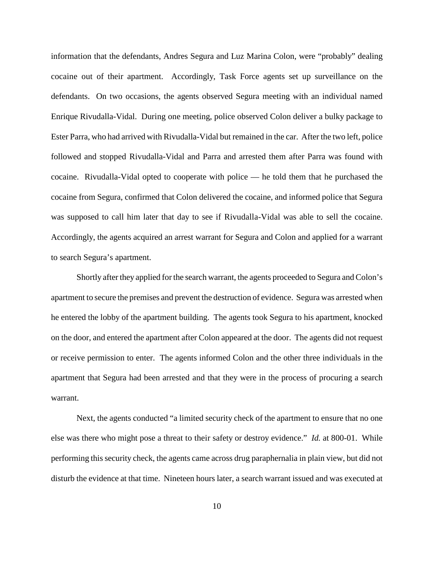information that the defendants, Andres Segura and Luz Marina Colon, were "probably" dealing cocaine out of their apartment. Accordingly, Task Force agents set up surveillance on the defendants. On two occasions, the agents observed Segura meeting with an individual named Enrique Rivudalla-Vidal. During one meeting, police observed Colon deliver a bulky package to Ester Parra, who had arrived with Rivudalla-Vidal but remained in the car. After the two left, police followed and stopped Rivudalla-Vidal and Parra and arrested them after Parra was found with cocaine. Rivudalla-Vidal opted to cooperate with police — he told them that he purchased the cocaine from Segura, confirmed that Colon delivered the cocaine, and informed police that Segura was supposed to call him later that day to see if Rivudalla-Vidal was able to sell the cocaine. Accordingly, the agents acquired an arrest warrant for Segura and Colon and applied for a warrant to search Segura's apartment.

Shortly after they applied for the search warrant, the agents proceeded to Segura and Colon's apartment to secure the premises and prevent the destruction of evidence. Segura was arrested when he entered the lobby of the apartment building. The agents took Segura to his apartment, knocked on the door, and entered the apartment after Colon appeared at the door. The agents did not request or receive permission to enter. The agents informed Colon and the other three individuals in the apartment that Segura had been arrested and that they were in the process of procuring a search warrant.

Next, the agents conducted "a limited security check of the apartment to ensure that no one else was there who might pose a threat to their safety or destroy evidence." *Id.* at 800-01. While performing thissecurity check, the agents came across drug paraphernalia in plain view, but did not disturb the evidence at that time. Nineteen hours later, a search warrant issued and was executed at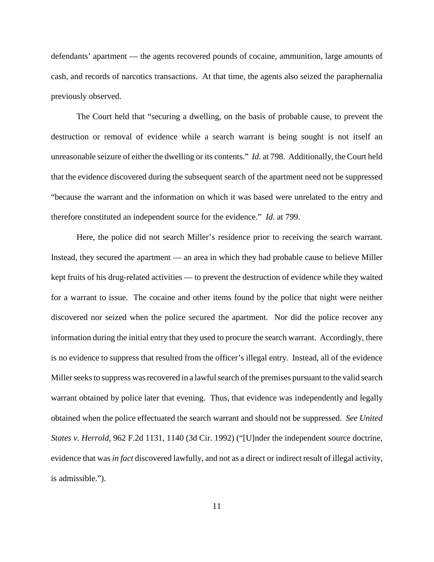defendants' apartment — the agents recovered pounds of cocaine, ammunition, large amounts of cash, and records of narcotics transactions. At that time, the agents also seized the paraphernalia previously observed.

The Court held that "securing a dwelling, on the basis of probable cause, to prevent the destruction or removal of evidence while a search warrant is being sought is not itself an unreasonable seizure of either the dwelling or its contents." *Id.* at 798. Additionally, the Court held that the evidence discovered during the subsequent search of the apartment need not be suppressed "because the warrant and the information on which it was based were unrelated to the entry and therefore constituted an independent source for the evidence." *Id.* at 799.

Here, the police did not search Miller's residence prior to receiving the search warrant. Instead, they secured the apartment — an area in which they had probable cause to believe Miller kept fruits of his drug-related activities — to prevent the destruction of evidence while they waited for a warrant to issue. The cocaine and other items found by the police that night were neither discovered nor seized when the police secured the apartment. Nor did the police recover any information during the initial entry that they used to procure the search warrant. Accordingly, there is no evidence to suppress that resulted from the officer's illegal entry. Instead, all of the evidence Miller seeks to suppress was recovered in a lawful search of the premises pursuant to the valid search warrant obtained by police later that evening. Thus, that evidence was independently and legally obtained when the police effectuated the search warrant and should not be suppressed. *See United States v. Herrold*, 962 F.2d 1131, 1140 (3d Cir. 1992) ("[U]nder the independent source doctrine, evidence that was *in fact* discovered lawfully, and not as a direct or indirect result of illegal activity, is admissible.").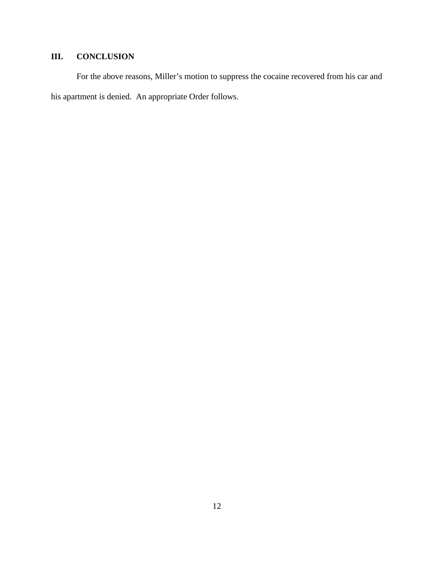# **III. CONCLUSION**

For the above reasons, Miller's motion to suppress the cocaine recovered from his car and his apartment is denied. An appropriate Order follows.